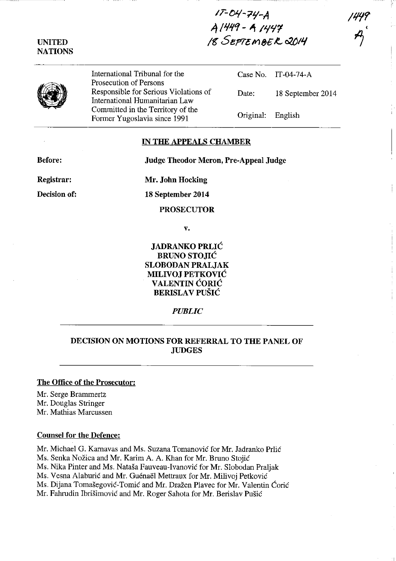17-04-74-A<br>A l449 - A 1447<br>18 SeptemoeR 2014

International Tribunal for the Prosecution of Persons Responsible for Serious Violations of International Humanitarian Law Committed in the Territory of the Former Yugoslavia since 1991

IT-04-74-A Case No. Date: 18 September 2014 Original: English

#### **IN THE APPEALS CHAMBER**

**Before:** 

**Judge Theodor Meron, Pre-Appeal Judge** 

Registrar: Decision of: Mr. John Hocking

18 September 2014

**PROSECUTOR** 

V.

**JADRANKO PRLIĆ BRUNO STOJIĆ SLOBODAN PRALJAK MILIVOJ PETKOVIĆ VALENTIN ĆORIĆ BERISLAV PUŠIĆ** 

**PUBLIC** 

# DECISION ON MOTIONS FOR REFERRAL TO THE PANEL OF **JUDGES**

## The Office of the Prosecutor:

Mr. Serge Brammertz Mr. Douglas Stringer Mr. Mathias Marcussen

#### **Counsel for the Defence:**

Mr. Michael G. Karnavas and Ms. Suzana Tomanović for Mr. Jadranko Prlić Ms. Senka Nožica and Mr. Karim A. A. Khan for Mr. Bruno Stojić Ms. Nika Pinter and Ms. Nataša Fauveau-Ivanović for Mr. Slobodan Praljak Ms. Vesna Alaburić and Mr. Guénaël Mettraux for Mr. Milivoj Petković Ms. Dijana Tomašegović-Tomić and Mr. Dražen Plavec for Mr. Valentin Ćorić Mr. Fahrudin Ibrišimović and Mr. Roger Sahota for Mr. Berislav Pušić

### **UNITED NATIONS**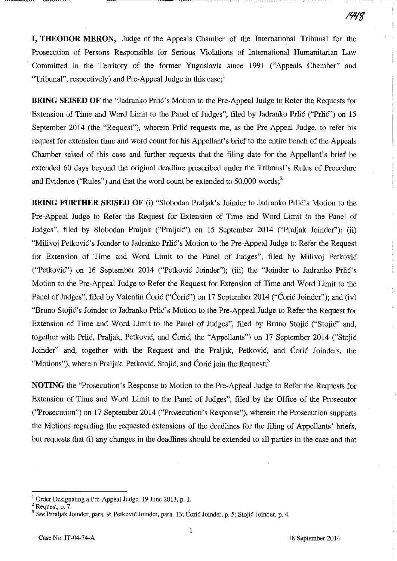**I, THEODOR MERON,** Judge of the Appeals Chamber of the International Tribunal for the Prosecution of Persons Responsible for Serious Violations of International Humanitarian Law Committed in the Territory of the former Yugoslavia since 1991 ("Appeals Chamber" and "Tribunal", respectively) and Pre-Appeal Judge in this case:

**BEING SEISED OF** the "Jadranko Prlic's Motion to the Pre-Appeal Judge to Refer the Requests for Extension of Time and Word Limit to the Panel of Judges", filed by Jadranko Prlić ("Prlić") on 15 September 2014 (the "Request"), wherein Prlic requests me, as the Pre-Appeal Judge, to refer his request for extension time and word count for his Appellant's brief to the entire bench of the Appeals Chamber seised of this case and further requests that the filing date for the Appellant's brief be extended 60 days beyond the original deadline prescribed under the Tribunal's Rules of Procedure and Evidence ("Rules") and that the word count be extended to 50,000 words;<sup>2</sup>

**BEING FURTHER SEISED OF** (i) "Slobodan Praljak's Joinder to Jadranko Prlić's Motion to the Pre-Appeal Judge to Refer the Request for Extension of Time and Word Limit to the Panel of Judges", filed by Slobodan Praljak ("Praljak") on 15 September 2014 ("Praljak Joinder"); (ii) "Milivoj Petković's Joinder to Jadranko Prlić's Motion to the Pre-Appeal Judge to Refer the Request for Extension of Time and Word Limit to the Panel of Judges", filed by Milivoj Petkovie ("Petkovie") on 16 September 2014 ("Petkovie Joinder"); (iii) the "Joinder to Jadranko PrliC's Motion to the Pre-Appeal Judge to Refer the Request for Extension of Time and Word Limit to the Panel of Judges", filed by Valentin Ćorić ("Ćorić") on 17 September 2014 ("Ćorić Joinder"); and (iv) "Bruno StojiC's Joinder to Jadranko PrliC's Motion to the Pre-Appeal Judge to Refer the Request for Extension of Time and Word Limit to the Panel of Judges", filed by Bruno Stojie ("Stojie" and, together with Prlić, Praljak, Petković, and Ćorić, the "Appellants") on 17 September 2014 ("Stojić Joinder" and, together with the Request and the Praljak, Petković, and Ćorić Joinders, the "Motions"), wherein Praljak, Petković, Stojić, and Ćorić join the Request;<sup>3</sup>

**NOTING** the "Prosecution's Response to Motion to the Pre-Appeal Judge to Refer the Requests for Extension of Time and Word Limit to the Panel of Judges", filed by the Office of the Prosecutor ("Prosecution") on 17 September 2014 ("Prosecution's Response"), wherein the Prosecution supports the Motions regarding the requested extensions of the deadlines for the filing of Appellants' briefs, but requests that (i) any changes in the deadlines should be extended to all parties in the case and that

<sup>I</sup>Order Designating a Pre-Appeal Judge, 19 June 2013, p. l.

 $2$  Request, p. 7.

<sup>3</sup>*See* Prraljak Joinder, para. 9; Petkovie Joinder, para. 13; Corie Joinder, p. 5; Stojic Joinder, p. 4.